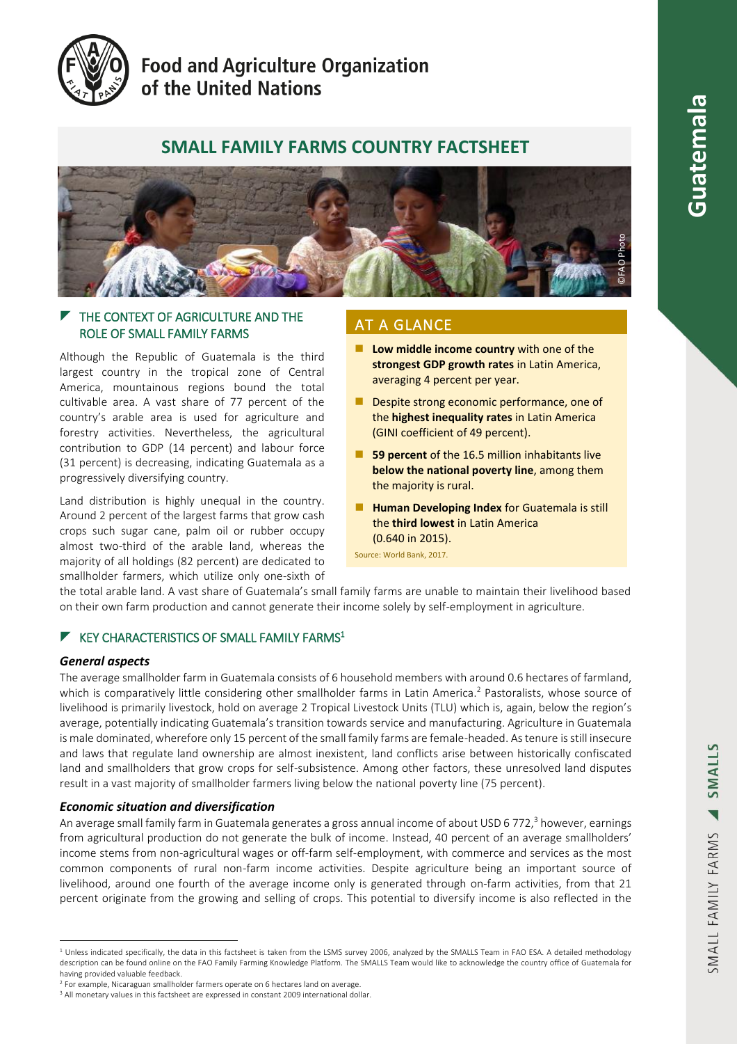

# **Food and Agriculture Organization** of the United Nations

# **SMALL FAMILY FARMS COUNTRY FACTSHEET**



### $\blacktriangleright$  THE CONTEXT OF AGRICULTURE AND THE ROLE OF SMALL FAMILY FARMS

Although the Republic of Guatemala is the third largest country in the tropical zone of Central America, mountainous regions bound the total cultivable area. A vast share of 77 percent of the country's arable area is used for agriculture and forestry activities. Nevertheless, the agricultural contribution to GDP (14 percent) and labour force (31 percent) is decreasing, indicating Guatemala as a progressively diversifying country.

Land distribution is highly unequal in the country. Around 2 percent of the largest farms that grow cash crops such sugar cane, palm oil or rubber occupy almost two-third of the arable land, whereas the majority of all holdings (82 percent) are dedicated to smallholder farmers, which utilize only one-sixth of

## AT A GLANCE

- **Low middle income country** with one of the **strongest GDP growth rates** in Latin America, averaging 4 percent per year.
- Despite strong economic performance, one of the **highest inequality rates** in Latin America (GINI coefficient of 49 percent).
- **59 percent** of the 16.5 million inhabitants live **below the national poverty line**, among them the majority is rural.
- **Human Developing Index** for Guatemala is still the **third lowest** in Latin America (0.640 in 2015).

Source: World Bank, 2017.

the total arable land. A vast share of Guatemala's small family farms are unable to maintain their livelihood based on their own farm production and cannot generate their income solely by self-employment in agriculture.

### $\blacktriangleright$  KEY CHARACTERISTICS OF SMALL FAMILY FARMS<sup>1</sup>

#### *General aspects*

The average smallholder farm in Guatemala consists of 6 household members with around 0.6 hectares of farmland, which is comparatively little considering other smallholder farms in Latin America. <sup>2</sup> Pastoralists, whose source of livelihood is primarily livestock, hold on average 2 Tropical Livestock Units (TLU) which is, again, below the region's average, potentially indicating Guatemala's transition towards service and manufacturing. Agriculture in Guatemala is male dominated, wherefore only 15 percent of the small family farms are female-headed. As tenure is still insecure and laws that regulate land ownership are almost inexistent, land conflicts arise between historically confiscated land and smallholders that grow crops for self-subsistence. Among other factors, these unresolved land disputes result in a vast majority of smallholder farmers living below the national poverty line (75 percent).

#### *Economic situation and diversification*

An average small family farm in Guatemala generates a gross annual income of about USD 6 772,<sup>3</sup> however, earnings from agricultural production do not generate the bulk of income. Instead, 40 percent of an average smallholders' income stems from non-agricultural wages or off-farm self-employment, with commerce and services as the most common components of rural non-farm income activities. Despite agriculture being an important source of livelihood, around one fourth of the average income only is generated through on-farm activities, from that 21 percent originate from the growing and selling of crops. This potential to diversify income is also reflected in the

<sup>&</sup>lt;sup>1</sup> Unless indicated specifically, the data in this factsheet is taken from the LSMS survey 2006, analyzed by the SMALLS Team in FAO ESA. A detailed methodology description can be found online on the FAO Family Farming Knowledge Platform. The SMALLS Team would like to acknowledge the country office of Guatemala for having provided valuable feedback.

<sup>&</sup>lt;sup>2</sup> For example, Nicaraguan smallholder farmers operate on 6 hectares land on average.

<sup>&</sup>lt;sup>3</sup> All monetary values in this factsheet are expressed in constant 2009 international dollar.